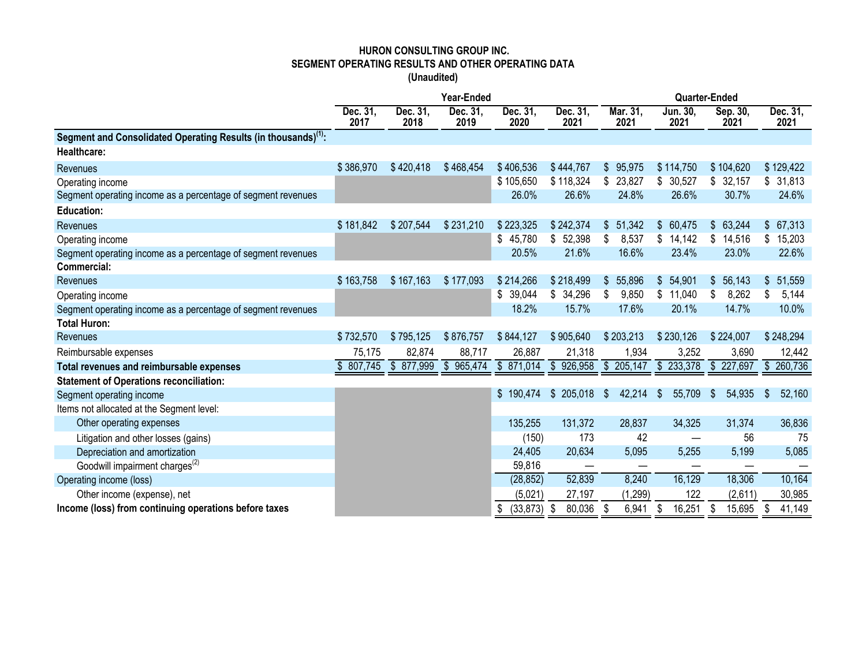## **HURON CONSULTING GROUP INC. SEGMENT OPERATING RESULTS AND OTHER OPERATING DATA (Unaudited)**

|                                                                                  | Year-Ended       |                       |                            |                            | <b>Quarter-Ended</b> |                       |                        |                            |                            |
|----------------------------------------------------------------------------------|------------------|-----------------------|----------------------------|----------------------------|----------------------|-----------------------|------------------------|----------------------------|----------------------------|
|                                                                                  | Dec. 31,<br>2017 | Dec. 31,<br>2018      | Dec. 31,<br>2019           | Dec. 31,<br>2020           | Dec. 31,<br>2021     | Mar. 31,<br>2021      | Jun. 30,<br>2021       | Sep. 30,<br>2021           | Dec. 31,<br>2021           |
| Segment and Consolidated Operating Results (in thousands) <sup>(1)</sup> :       |                  |                       |                            |                            |                      |                       |                        |                            |                            |
| Healthcare:                                                                      |                  |                       |                            |                            |                      |                       |                        |                            |                            |
| Revenues                                                                         | \$386,970        | \$420,418             | \$468,454                  | \$406,536                  | \$444,767            | \$95,975              | \$114,750              | \$104,620                  | \$129,422                  |
| Operating income<br>Segment operating income as a percentage of segment revenues |                  |                       |                            | \$105,650<br>26.0%         | \$118,324<br>26.6%   | 23,827<br>\$<br>24.8% | 30,527<br>\$.<br>26.6% | \$32,157<br>30.7%          | \$31,813<br>24.6%          |
| <b>Education:</b>                                                                |                  |                       |                            |                            |                      |                       |                        |                            |                            |
| Revenues                                                                         | \$181,842        | \$207,544             | \$231,210                  | \$223,325                  | \$242,374            | 51,342<br>\$          | \$60,475               | 63,244<br>S.               | 67,313<br>\$               |
| Operating income                                                                 |                  |                       |                            | \$45,780                   | \$<br>52,398         | 8,537<br>\$           | S<br>14,142            | \$<br>14,516               | 15,203<br>\$               |
| Segment operating income as a percentage of segment revenues<br>Commercial:      |                  |                       |                            | 20.5%                      | 21.6%                | 16.6%                 | 23.4%                  | 23.0%                      | 22.6%                      |
| Revenues                                                                         | \$163,758        | \$167,163             | \$177,093                  | \$214,266                  | \$218,499            | 55,896<br>\$          | \$54,901               | 56,143<br>\$               | 51,559<br>\$               |
| Operating income                                                                 |                  |                       |                            | \$39,044                   | \$<br>34,296         | 9,850<br>S            | \$<br>11,040           | \$<br>8,262                | 5,144<br>\$                |
| Segment operating income as a percentage of segment revenues                     |                  |                       |                            | 18.2%                      | 15.7%                | 17.6%                 | 20.1%                  | 14.7%                      | 10.0%                      |
| <b>Total Huron:</b>                                                              |                  |                       |                            |                            |                      |                       |                        |                            |                            |
| Revenues                                                                         | \$732,570        | \$795,125             | \$876,757                  | \$844,127                  | \$905,640            | \$203,213             | \$230,126              | \$224,007                  | \$248,294                  |
| Reimbursable expenses                                                            | 75,175           | 82,874                | 88,717                     | 26,887                     | 21,318               | 1,934                 | 3,252                  | 3,690                      | 12,442                     |
| Total revenues and reimbursable expenses                                         | \$807,745        | $\frac{1}{2}$ 877,999 | $\overline{\$}$<br>965,474 | $\overline{\$}$<br>871,014 | \$926,958            | $\frac{1}{2}$ 205,147 | $\frac{1}{2}$ 233,378  | $\overline{\$}$<br>227,697 | $\overline{\$}$<br>260,736 |
| <b>Statement of Operations reconciliation:</b>                                   |                  |                       |                            |                            |                      |                       |                        |                            |                            |
| Segment operating income                                                         |                  |                       |                            | \$190.474                  | \$205,018            | 42,214<br>\$          | 55,709<br>\$           | 54,935<br>\$               | 52,160<br>\$               |
| Items not allocated at the Segment level:                                        |                  |                       |                            |                            |                      |                       |                        |                            |                            |
| Other operating expenses                                                         |                  |                       |                            | 135,255                    | 131,372              | 28,837                | 34,325                 | 31,374                     | 36,836                     |
| Litigation and other losses (gains)                                              |                  |                       |                            | (150)                      | 173                  | 42                    |                        | 56                         | 75                         |
| Depreciation and amortization                                                    |                  |                       |                            | 24,405                     | 20,634               | 5,095                 | 5,255                  | 5,199                      | 5,085                      |
| Goodwill impairment charges <sup>(2)</sup>                                       |                  |                       |                            | 59,816                     |                      | —                     |                        |                            |                            |
| Operating income (loss)                                                          |                  |                       |                            | (28, 852)                  | 52,839               | 8,240                 | 16,129                 | 18,306                     | 10,164                     |
| Other income (expense), net                                                      |                  |                       |                            | (5,021)                    | 27,197               | (1, 299)              | 122                    | (2,611)                    | 30,985                     |
| Income (loss) from continuing operations before taxes                            |                  |                       |                            | \$<br>(33, 873)            | \$<br>80,036         | \$<br>6,941           | 16,251<br>\$           | 15,695<br>\$               | \$<br>41,149               |